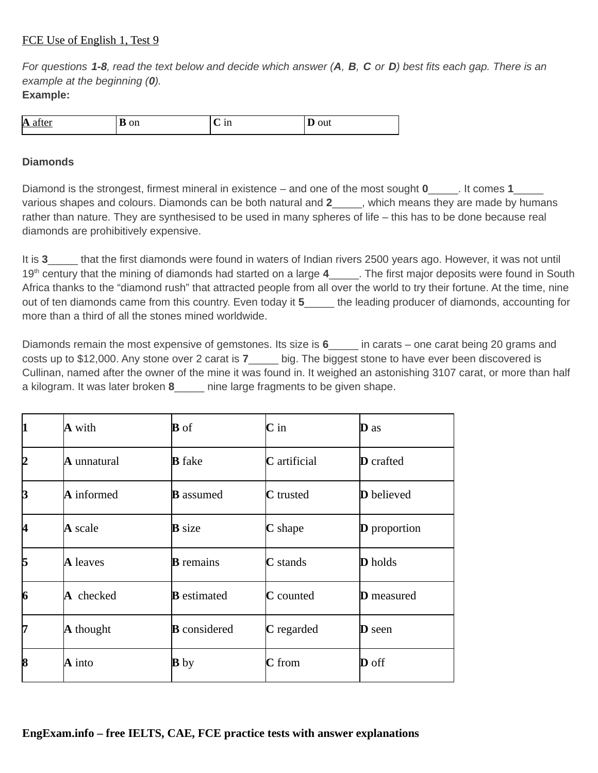## FCE Use of English 1, Test 9

*For questions 1-8, read the text below and decide which answer (А, В, C or D) best fits each gap. There is an example at the beginning (0).* **Example:**

| A<br> | <b>UII</b><br><b>.</b> | <br>- | $\sim$ 333<br>vuu<br>. . |
|-------|------------------------|-------|--------------------------|

## **Diamonds**

Diamond is the strongest, firmest mineral in existence – and one of the most sought **0**\_\_\_\_\_. It comes **1**\_\_\_\_\_ various shapes and colours. Diamonds can be both natural and **2**\_\_\_\_\_, which means they are made by humans rather than nature. They are synthesised to be used in many spheres of life – this has to be done because real diamonds are prohibitively expensive.

It is **3** that the first diamonds were found in waters of Indian rivers 2500 years ago. However, it was not until 19<sup>th</sup> century that the mining of diamonds had started on a large 4 The first major deposits were found in South Africa thanks to the "diamond rush" that attracted people from all over the world to try their fortune. At the time, nine out of ten diamonds came from this country. Even today it **5**\_\_\_\_\_ the leading producer of diamonds, accounting for more than a third of all the stones mined worldwide.

Diamonds remain the most expensive of gemstones. Its size is **6**\_\_\_\_\_ in carats – one carat being 20 grams and costs up to \$12,000. Any stone over 2 carat is **7**\_\_\_\_\_ big. The biggest stone to have ever been discovered is Cullinan, named after the owner of the mine it was found in. It weighed an astonishing 3107 carat, or more than half a kilogram. It was later broken **8**\_\_\_\_\_ nine large fragments to be given shape.

| 11 | A with           | <b>B</b> of         | $\mathbf C$ in      | $\mathbf D$ as      |
|----|------------------|---------------------|---------------------|---------------------|
| 12 | A unnatural      | <b>B</b> fake       | <b>C</b> artificial | <b>D</b> crafted    |
| B  | $\bf A$ informed | <b>B</b> assumed    | <b>C</b> trusted    | <b>D</b> believed   |
| 14 | A scale          | <b>B</b> size       | C shape             | <b>D</b> proportion |
| 15 | <b>A</b> leaves  | <b>B</b> remains    | $C$ stands          | <b>D</b> holds      |
| 6  | A checked        | <b>B</b> estimated  | <b>C</b> counted    | <b>D</b> measured   |
| 17 | A thought        | <b>B</b> considered | <b>C</b> regarded   | <b>D</b> seen       |
| 8  | $\bf{A}$ into    | <b>B</b> by         | $C$ from            | <b>D</b> off        |